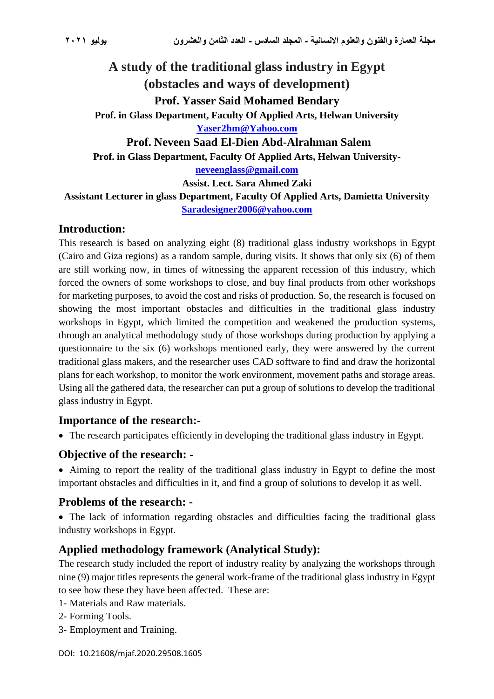# **A study of the traditional glass industry in Egypt (obstacles and ways of development) Prof. Yasser Said Mohamed Bendary Prof. in Glass Department, Faculty Of Applied Arts, Helwan University [Yaser2hm@Yahoo.com](mailto:Yaser2hm@Yahoo.com) Prof. Neveen Saad El-Dien Abd-Alrahman Salem Prof. in Glass Department, Faculty Of Applied Arts, Helwan University[neveenglass@gmail.com](mailto:neveenglass@gmail.com)**

**Assist. Lect. Sara Ahmed Zaki**

**Assistant Lecturer in glass Department, Faculty Of Applied Arts, Damietta University [Saradesigner2006@yahoo.com](mailto:Saradesigner2006@yahoo.com)**

### **Introduction:**

This research is based on analyzing eight (8) traditional glass industry workshops in Egypt (Cairo and Giza regions) as a random sample, during visits. It shows that only six (6) of them are still working now, in times of witnessing the apparent recession of this industry, which forced the owners of some workshops to close, and buy final products from other workshops for marketing purposes, to avoid the cost and risks of production. So, the research is focused on showing the most important obstacles and difficulties in the traditional glass industry workshops in Egypt, which limited the competition and weakened the production systems, through an analytical methodology study of those workshops during production by applying a questionnaire to the six (6) workshops mentioned early, they were answered by the current traditional glass makers, and the researcher uses CAD software to find and draw the horizontal plans for each workshop, to monitor the work environment, movement paths and storage areas. Using all the gathered data, the researcher can put a group of solutions to develop the traditional glass industry in Egypt.

#### **Importance of the research:-**

• The research participates efficiently in developing the traditional glass industry in Egypt.

#### **Objective of the research: -**

• Aiming to report the reality of the traditional glass industry in Egypt to define the most important obstacles and difficulties in it, and find a group of solutions to develop it as well.

#### **Problems of the research: -**

• The lack of information regarding obstacles and difficulties facing the traditional glass industry workshops in Egypt.

### **Applied methodology framework (Analytical Study):**

The research study included the report of industry reality by analyzing the workshops through nine (9) major titles represents the general work-frame of the traditional glass industry in Egypt to see how these they have been affected. These are:

- 1- Materials and Raw materials.
- 2- Forming Tools.
- 3- Employment and Training.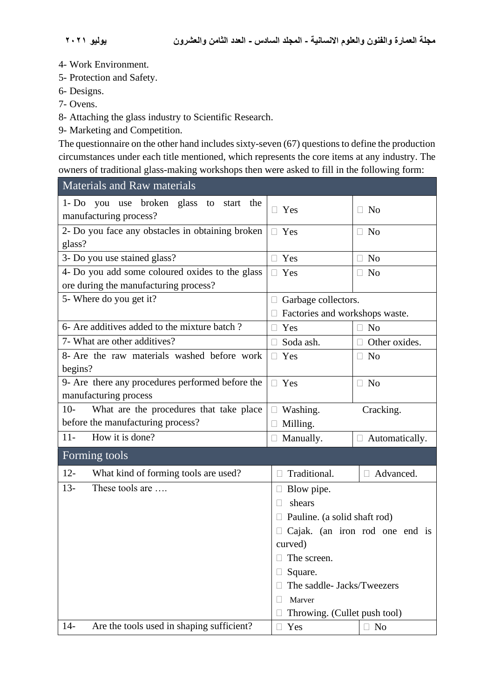- 4- Work Environment.
- 5- Protection and Safety.
- 6- Designs.
- 7- Ovens.
- 8- Attaching the glass industry to Scientific Research.
- 9- Marketing and Competition.

The questionnaire on the other hand includes sixty-seven (67) questions to define the production circumstances under each title mentioned, which represents the core items at any industry. The owners of traditional glass-making workshops then were asked to fill in the following form:

| <b>Materials and Raw materials</b>                                        |                                                                |                       |  |  |
|---------------------------------------------------------------------------|----------------------------------------------------------------|-----------------------|--|--|
| 1- Do you use broken glass<br>to start the<br>manufacturing process?      | $\Box$ Yes<br>$\Box$ No                                        |                       |  |  |
| 2- Do you face any obstacles in obtaining broken<br>glass?                | $\Box$ Yes<br>$\Box$ No                                        |                       |  |  |
| 3- Do you use stained glass?                                              | $\Box$ Yes                                                     | $\Box$ No             |  |  |
| 4- Do you add some coloured oxides to the glass                           | $\Box$ Yes                                                     | N <sub>o</sub>        |  |  |
| ore during the manufacturing process?                                     |                                                                |                       |  |  |
| 5- Where do you get it?                                                   | $\Box$ Garbage collectors.                                     |                       |  |  |
|                                                                           | Factories and workshops waste.                                 |                       |  |  |
| 6- Are additives added to the mixture batch?                              | Yes<br>П                                                       | $\Box$ No             |  |  |
| 7- What are other additives?                                              | $\Box$ Soda ash.                                               | Other oxides.         |  |  |
| 8- Are the raw materials washed before work<br>begins?                    | Yes<br>$\Box$ No<br>П                                          |                       |  |  |
| 9- Are there any procedures performed before the<br>manufacturing process | $\Box$ Yes<br>$\Box$ No                                        |                       |  |  |
| $10-$<br>What are the procedures that take place                          | Washing.                                                       | Cracking.             |  |  |
| before the manufacturing process?                                         | Milling.                                                       |                       |  |  |
| How it is done?<br>$11-$                                                  | $\Box$ Manually.                                               | $\Box$ Automatically. |  |  |
| Forming tools                                                             |                                                                |                       |  |  |
| $12 -$<br>What kind of forming tools are used?                            | Traditional.                                                   | Advanced.             |  |  |
| These tools are<br>$13 -$                                                 | $\Box$ Blow pipe.                                              |                       |  |  |
|                                                                           | shears                                                         |                       |  |  |
|                                                                           | Pauline. (a solid shaft rod)<br>Cajak. (an iron rod one end is |                       |  |  |
|                                                                           |                                                                |                       |  |  |
|                                                                           | curved)                                                        |                       |  |  |
|                                                                           | The screen.                                                    |                       |  |  |
|                                                                           | Square.                                                        |                       |  |  |
|                                                                           | The saddle- Jacks/Tweezers                                     |                       |  |  |
|                                                                           | Marver                                                         |                       |  |  |
|                                                                           | Throwing. (Cullet push tool)                                   |                       |  |  |
| Are the tools used in shaping sufficient?<br>$14-$                        | Yes<br>П                                                       | $\Box$ No             |  |  |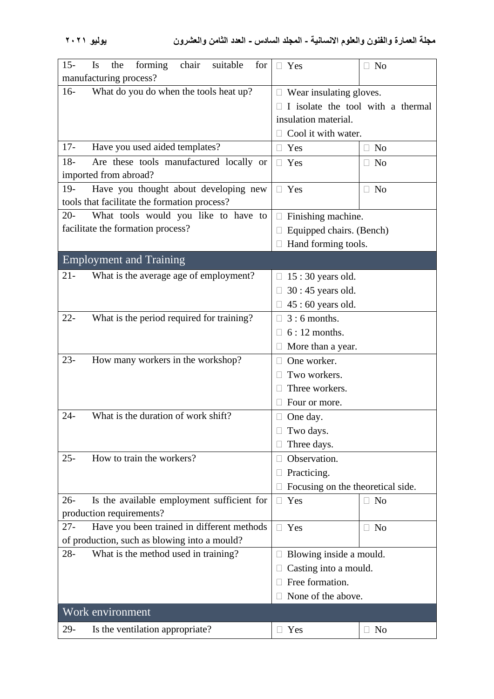| forming<br>$15 -$<br>Is<br>chair<br>suitable<br>the<br>for<br>manufacturing process? | $\Box$ Yes                             | $\Box$ No                                  |  |  |
|--------------------------------------------------------------------------------------|----------------------------------------|--------------------------------------------|--|--|
| What do you do when the tools heat up?<br>$16-$                                      | $\Box$ Wear insulating gloves.         |                                            |  |  |
|                                                                                      |                                        |                                            |  |  |
|                                                                                      | I isolate the tool with a thermal      |                                            |  |  |
|                                                                                      | insulation material.                   |                                            |  |  |
|                                                                                      | Cool it with water.                    |                                            |  |  |
| $17 -$<br>Have you used aided templates?                                             | Yes<br>П                               | N <sub>0</sub><br>П.                       |  |  |
| $18 -$<br>Are these tools manufactured locally or                                    | $\Box$ Yes<br>N <sub>o</sub><br>$\Box$ |                                            |  |  |
| imported from abroad?                                                                |                                        |                                            |  |  |
| $19-$<br>Have you thought about developing new                                       | $\Box$ Yes                             | N <sub>o</sub><br>$\Box$                   |  |  |
| tools that facilitate the formation process?                                         |                                        |                                            |  |  |
| What tools would you like to have to<br>$20 -$                                       | Finishing machine.<br>$\Box$           |                                            |  |  |
| facilitate the formation process?                                                    | Equipped chairs. (Bench)               |                                            |  |  |
|                                                                                      | Hand forming tools.                    |                                            |  |  |
| <b>Employment and Training</b>                                                       |                                        |                                            |  |  |
| What is the average age of employment?<br>$21 -$                                     | $15:30$ years old.                     |                                            |  |  |
|                                                                                      | $30:45$ years old.                     |                                            |  |  |
|                                                                                      | $45:60$ years old.                     |                                            |  |  |
| What is the period required for training?<br>$22 -$                                  | $3:6$ months.                          |                                            |  |  |
|                                                                                      | $6:12$ months.                         |                                            |  |  |
|                                                                                      | More than a year.                      |                                            |  |  |
| How many workers in the workshop?<br>$23 -$                                          | One worker.                            |                                            |  |  |
|                                                                                      | Two workers.                           |                                            |  |  |
|                                                                                      | Three workers.                         |                                            |  |  |
|                                                                                      | Four or more.                          |                                            |  |  |
| What is the duration of work shift?<br>$24-$                                         | One day.                               |                                            |  |  |
|                                                                                      | Two days.                              |                                            |  |  |
|                                                                                      | Three days.                            |                                            |  |  |
| How to train the workers?<br>$25 -$                                                  | Observation.                           |                                            |  |  |
|                                                                                      | Practicing.                            |                                            |  |  |
|                                                                                      | Focusing on the theoretical side.      |                                            |  |  |
|                                                                                      |                                        |                                            |  |  |
| Is the available employment sufficient for<br>$26 -$                                 | Yes<br>$\Box$                          | N <sub>o</sub><br>$\overline{\phantom{a}}$ |  |  |
| production requirements?                                                             |                                        |                                            |  |  |
| Have you been trained in different methods<br>$27 -$                                 | $\Box$ Yes                             | N <sub>o</sub><br>$\Box$                   |  |  |
| of production, such as blowing into a mould?                                         |                                        |                                            |  |  |
| $28 -$<br>What is the method used in training?                                       | Blowing inside a mould.                |                                            |  |  |
|                                                                                      | Casting into a mould.                  |                                            |  |  |
|                                                                                      | Free formation.                        |                                            |  |  |
|                                                                                      | None of the above.                     |                                            |  |  |
| Work environment                                                                     |                                        |                                            |  |  |
| $29-$<br>Is the ventilation appropriate?                                             | Yes<br>$\Box$                          | N <sub>o</sub><br>$\Box$                   |  |  |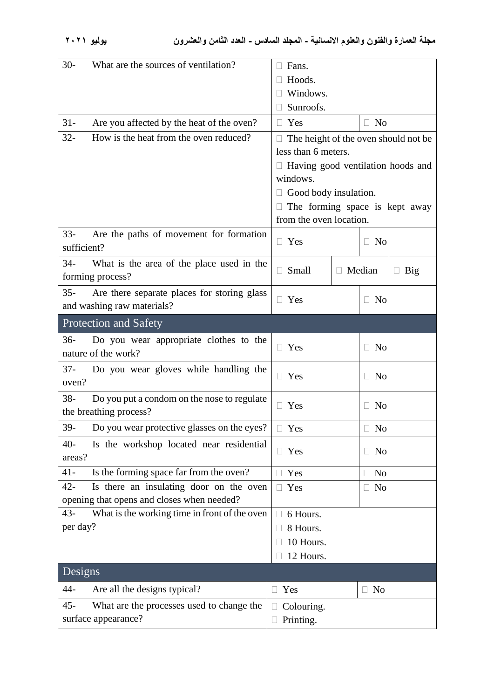| $30-$<br>What are the sources of ventilation?          | Fans.                                |                                            |  |
|--------------------------------------------------------|--------------------------------------|--------------------------------------------|--|
|                                                        | Hoods.                               |                                            |  |
|                                                        | Windows.                             |                                            |  |
|                                                        | Sunroofs.                            |                                            |  |
| $31 -$<br>Are you affected by the heat of the oven?    | $\Box$ No<br>$\Box$ Yes              |                                            |  |
| $32 -$<br>How is the heat from the oven reduced?       | The height of the oven should not be |                                            |  |
|                                                        | less than 6 meters.                  |                                            |  |
|                                                        |                                      | $\Box$ Having good ventilation hoods and   |  |
|                                                        | windows.                             |                                            |  |
|                                                        | Good body insulation.                |                                            |  |
|                                                        |                                      | The forming space is kept away             |  |
|                                                        | from the oven location.              |                                            |  |
| $33 -$<br>Are the paths of movement for formation      | $\Box$ Yes                           | $\Box$ No                                  |  |
| sufficient?                                            |                                      |                                            |  |
| $34-$<br>What is the area of the place used in the     |                                      |                                            |  |
| forming process?                                       | Small                                | Median<br><b>Big</b>                       |  |
| Are there separate places for storing glass<br>$35 -$  |                                      |                                            |  |
| and washing raw materials?                             | $\Box$ Yes                           | $\Box$ No                                  |  |
| <b>Protection and Safety</b>                           |                                      |                                            |  |
| $36-$<br>Do you wear appropriate clothes to the        |                                      |                                            |  |
| nature of the work?                                    | $\Box$ Yes                           | N <sub>o</sub><br>H                        |  |
| Do you wear gloves while handling the<br>$37 -$        |                                      |                                            |  |
| oven?                                                  | $\Box$ Yes                           | N <sub>o</sub><br>$\Box$                   |  |
| $38 -$<br>Do you put a condom on the nose to regulate  |                                      |                                            |  |
| the breathing process?                                 | Yes<br>Ш                             | N <sub>o</sub><br>$\Box$                   |  |
| $39-$<br>Do you wear protective glasses on the eyes?   | $\Box$ Yes                           | $\Box$ No                                  |  |
| $40-$<br>Is the workshop located near residential      | $\Box$ Yes                           | $\Box$ No                                  |  |
| areas?                                                 |                                      |                                            |  |
| Is the forming space far from the oven?<br>$41 -$      | Yes                                  | N <sub>0</sub><br>- 1                      |  |
| Is there an insulating door on the oven<br>$42 -$      | Yes                                  | N <sub>o</sub><br>$\overline{\phantom{a}}$ |  |
| opening that opens and closes when needed?             |                                      |                                            |  |
| What is the working time in front of the oven<br>$43-$ | 6 Hours.                             |                                            |  |
| per day?                                               | 8 Hours.                             |                                            |  |
|                                                        | 10 Hours.                            |                                            |  |
|                                                        | 12 Hours.                            |                                            |  |
| Designs                                                |                                      |                                            |  |
| Are all the designs typical?<br>44-                    | Yes<br>⊔                             | $\Box$ No                                  |  |
| $45 -$<br>What are the processes used to change the    | Colouring.<br>П.                     |                                            |  |
| surface appearance?                                    | $\Box$ Printing.                     |                                            |  |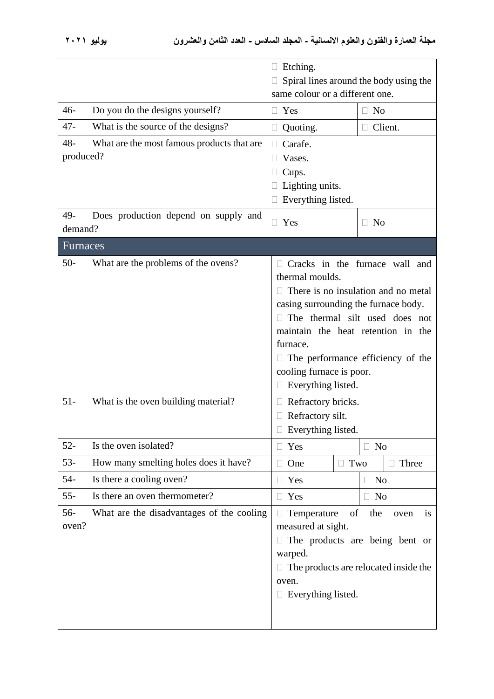|                                                                                              | $\Box$ Etching.<br>Spiral lines around the body using the<br>same colour or a different one.                                                                                                                                                                                                                                             |  |  |
|----------------------------------------------------------------------------------------------|------------------------------------------------------------------------------------------------------------------------------------------------------------------------------------------------------------------------------------------------------------------------------------------------------------------------------------------|--|--|
| $46-$<br>Do you do the designs yourself?                                                     | Yes<br>N <sub>0</sub><br>$\Box$<br>Ш                                                                                                                                                                                                                                                                                                     |  |  |
| $47 -$<br>What is the source of the designs?                                                 | Client.<br>Quoting.                                                                                                                                                                                                                                                                                                                      |  |  |
| $48 -$<br>What are the most famous products that are<br>produced?                            | Carafe.<br>$\Box$<br>Vases.<br>Cups.<br>Lighting units.<br>Everything listed.                                                                                                                                                                                                                                                            |  |  |
| 49-<br>Does production depend on supply and<br>demand?                                       | Yes<br>$\Box$ No<br>$\Box$                                                                                                                                                                                                                                                                                                               |  |  |
| Furnaces                                                                                     |                                                                                                                                                                                                                                                                                                                                          |  |  |
| $50-$<br>What are the problems of the ovens?<br>$51-$<br>What is the oven building material? | Cracks in the furnace wall and<br>thermal moulds.<br>There is no insulation and no metal<br>casing surrounding the furnace body.<br>The thermal silt used does not<br>maintain the heat retention in the<br>furnace.<br>The performance efficiency of the<br>cooling furnace is poor.<br>$\Box$ Everything listed.<br>Refractory bricks. |  |  |
|                                                                                              | Refractory silt.<br>$\Box$ Everything listed.                                                                                                                                                                                                                                                                                            |  |  |
| $52 -$<br>Is the oven isolated?                                                              | Yes<br>$\Box$ No                                                                                                                                                                                                                                                                                                                         |  |  |
| $53-$<br>How many smelting holes does it have?                                               | $\Box$ Two<br>Three<br>One                                                                                                                                                                                                                                                                                                               |  |  |
| $54-$<br>Is there a cooling oven?                                                            | $\Box$ No<br>Yes                                                                                                                                                                                                                                                                                                                         |  |  |
| $55 -$<br>Is there an oven thermometer?                                                      | Yes<br>$\Box$ No                                                                                                                                                                                                                                                                                                                         |  |  |
| 56-<br>What are the disadvantages of the cooling<br>oven?                                    | Temperature<br>of<br>the<br>oven<br><b>1S</b><br>measured at sight.<br>The products are being bent or<br>warped.<br>$\Box$ The products are relocated inside the<br>oven.<br>$\Box$ Everything listed.                                                                                                                                   |  |  |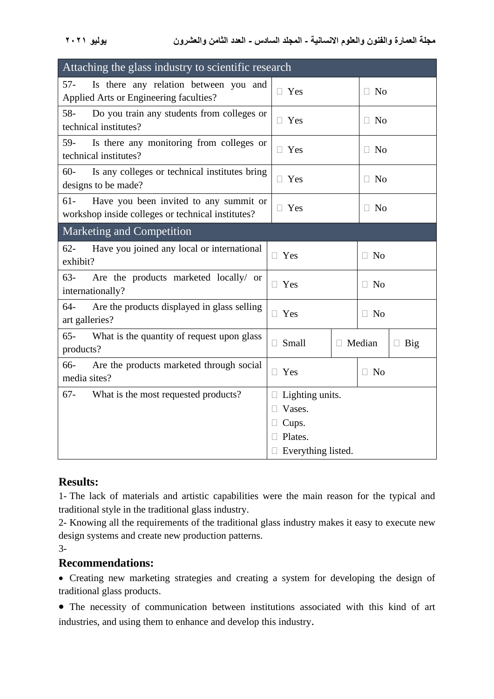| Attaching the glass industry to scientific research                                                   |                 |             |                     |           |  |
|-------------------------------------------------------------------------------------------------------|-----------------|-------------|---------------------|-----------|--|
| Is there any relation between you and<br>57-<br>Applied Arts or Engineering faculties?                | $\Box$ Yes      |             | N <sub>o</sub><br>H |           |  |
| $58 -$<br>Do you train any students from colleges or<br>technical institutes?                         | $\Box$ Yes      |             | $\Box$ No           |           |  |
| 59-<br>Is there any monitoring from colleges or<br>technical institutes?                              | $\Box$ Yes      |             | N <sub>0</sub><br>H |           |  |
| $60 -$<br>Is any colleges or technical institutes bring<br>designs to be made?                        | $\Box$ Yes      |             | $\Box$ No           |           |  |
| Have you been invited to any summit or<br>$61 -$<br>workshop inside colleges or technical institutes? | $\Box$ Yes      |             | $\Box$ No           |           |  |
| <b>Marketing and Competition</b>                                                                      |                 |             |                     |           |  |
| $62 -$<br>Have you joined any local or international<br>exhibit?                                      | $\Box$ Yes      |             | $\Box$ No           |           |  |
| $63-$<br>Are the products marketed locally/ or<br>internationally?                                    | $\Box$ Yes      |             | $\Box$ No           |           |  |
| Are the products displayed in glass selling<br>$64-$<br>art galleries?                                | $\Box$ Yes      | $\Box$ No   |                     |           |  |
| $65 -$<br>What is the quantity of request upon glass<br>products?                                     | Small<br>П.     | Median<br>П |                     | Big<br>П. |  |
| 66-<br>Are the products marketed through social<br>media sites?                                       | $\Box$ Yes      | $\Box$ No   |                     |           |  |
| What is the most requested products?<br>67-                                                           | Lighting units. |             |                     |           |  |
|                                                                                                       | Vases.          |             |                     |           |  |
|                                                                                                       | Cups.           |             |                     |           |  |
|                                                                                                       | Plates.         |             |                     |           |  |
| Everything listed.                                                                                    |                 |             |                     |           |  |

#### **Results:**

1- The lack of materials and artistic capabilities were the main reason for the typical and traditional style in the traditional glass industry.

2- Knowing all the requirements of the traditional glass industry makes it easy to execute new design systems and create new production patterns.

3-

### **Recommendations:**

• Creating new marketing strategies and creating a system for developing the design of traditional glass products.

• The necessity of communication between institutions associated with this kind of art industries, and using them to enhance and develop this industry.